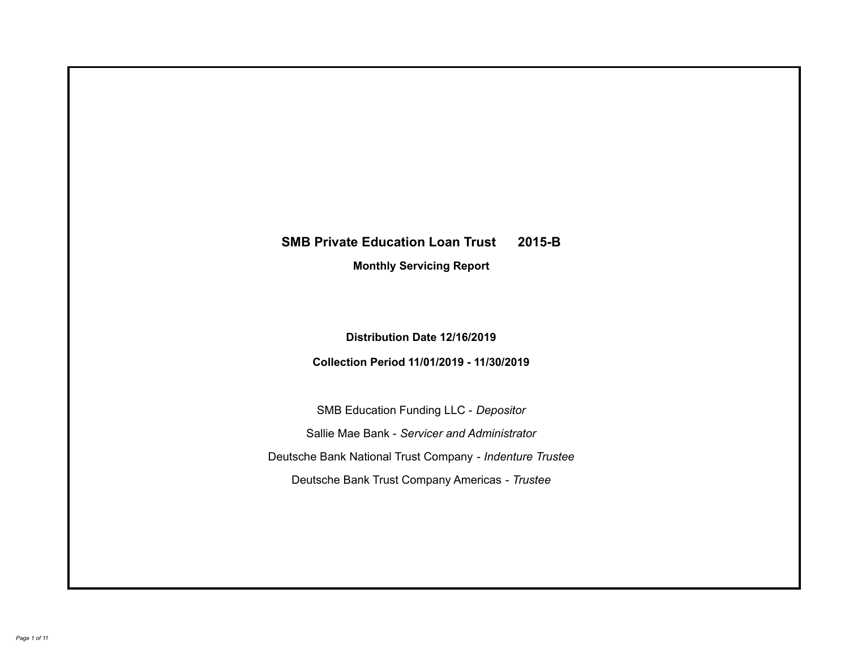# **SMB Private Education Loan Trust 2015-B Monthly Servicing Report**

## **Distribution Date 12/16/2019**

# **Collection Period 11/01/2019 - 11/30/2019**

SMB Education Funding LLC - *Depositor* Sallie Mae Bank - *Servicer and Administrator* Deutsche Bank National Trust Company - *Indenture Trustee* Deutsche Bank Trust Company Americas - *Trustee*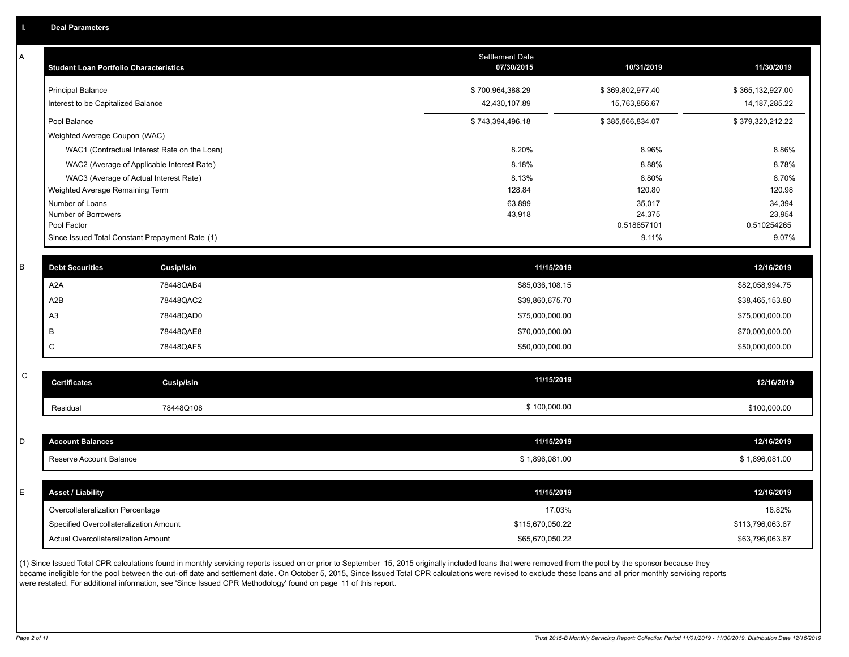| А           | <b>Student Loan Portfolio Characteristics</b> |                                                 | <b>Settlement Date</b><br>07/30/2015 | 10/31/2019            | 11/30/2019            |
|-------------|-----------------------------------------------|-------------------------------------------------|--------------------------------------|-----------------------|-----------------------|
|             | <b>Principal Balance</b>                      |                                                 | \$700,964,388.29                     | \$369,802,977.40      | \$365,132,927.00      |
|             | Interest to be Capitalized Balance            |                                                 | 42,430,107.89                        | 15,763,856.67         | 14, 187, 285. 22      |
|             | Pool Balance                                  |                                                 | \$743,394,496.18                     | \$385,566,834.07      | \$379,320,212.22      |
|             | Weighted Average Coupon (WAC)                 |                                                 |                                      |                       |                       |
|             |                                               | WAC1 (Contractual Interest Rate on the Loan)    | 8.20%                                | 8.96%                 | 8.86%                 |
|             |                                               | WAC2 (Average of Applicable Interest Rate)      | 8.18%                                | 8.88%                 | 8.78%                 |
|             |                                               | WAC3 (Average of Actual Interest Rate)          | 8.13%                                | 8.80%                 | 8.70%                 |
|             | Weighted Average Remaining Term               |                                                 | 128.84                               | 120.80                | 120.98                |
|             | Number of Loans                               |                                                 | 63,899                               | 35,017                | 34,394                |
|             | Number of Borrowers<br>Pool Factor            |                                                 | 43,918                               | 24,375<br>0.518657101 | 23,954<br>0.510254265 |
|             |                                               | Since Issued Total Constant Prepayment Rate (1) |                                      | 9.11%                 | 9.07%                 |
|             |                                               |                                                 |                                      |                       |                       |
| В           | <b>Debt Securities</b>                        | <b>Cusip/Isin</b>                               | 11/15/2019                           |                       | 12/16/2019            |
|             | A <sub>2</sub> A                              | 78448QAB4                                       | \$85,036,108.15                      |                       | \$82,058,994.75       |
|             | A2B                                           | 78448QAC2                                       | \$39,860,675.70                      |                       | \$38,465,153.80       |
|             | A <sub>3</sub>                                | 78448QAD0                                       | \$75,000,000.00                      |                       | \$75,000,000.00       |
|             | B                                             | 78448QAE8                                       | \$70,000,000.00                      |                       | \$70,000,000.00       |
|             | $\mathsf{C}$                                  | 78448QAF5                                       | \$50,000,000.00                      |                       | \$50,000,000.00       |
| $\mathsf C$ |                                               |                                                 |                                      |                       |                       |
|             | <b>Certificates</b>                           | <b>Cusip/Isin</b>                               | 11/15/2019                           |                       | 12/16/2019            |
|             | Residual                                      | 78448Q108                                       | \$100,000.00                         |                       | \$100,000.00          |
|             |                                               |                                                 |                                      |                       |                       |
| D           | <b>Account Balances</b>                       |                                                 | 11/15/2019                           |                       | 12/16/2019            |
|             | Reserve Account Balance                       |                                                 | \$1,896,081.00                       |                       | \$1,896,081.00        |
|             |                                               |                                                 |                                      |                       |                       |
| E           | <b>Asset / Liability</b>                      |                                                 | 11/15/2019                           |                       | 12/16/2019            |
|             | Overcollateralization Percentage              |                                                 | 17.03%                               |                       | 16.82%                |
|             | Specified Overcollateralization Amount        |                                                 | \$115,670,050.22                     |                       | \$113,796,063.67      |
|             | Actual Overcollateralization Amount           |                                                 | \$65,670,050.22                      |                       | \$63,796,063.67       |

(1) Since Issued Total CPR calculations found in monthly servicing reports issued on or prior to September 15, 2015 originally included loans that were removed from the pool by the sponsor because they .<br>became ineligible for the pool between the cut-off date and settlement date. On October 5, 2015, Since Issued Total CPR calculations were revised to exclude these loans and all prior monthly servicing reports were restated. For additional information, see 'Since Issued CPR Methodology' found on page 11 of this report.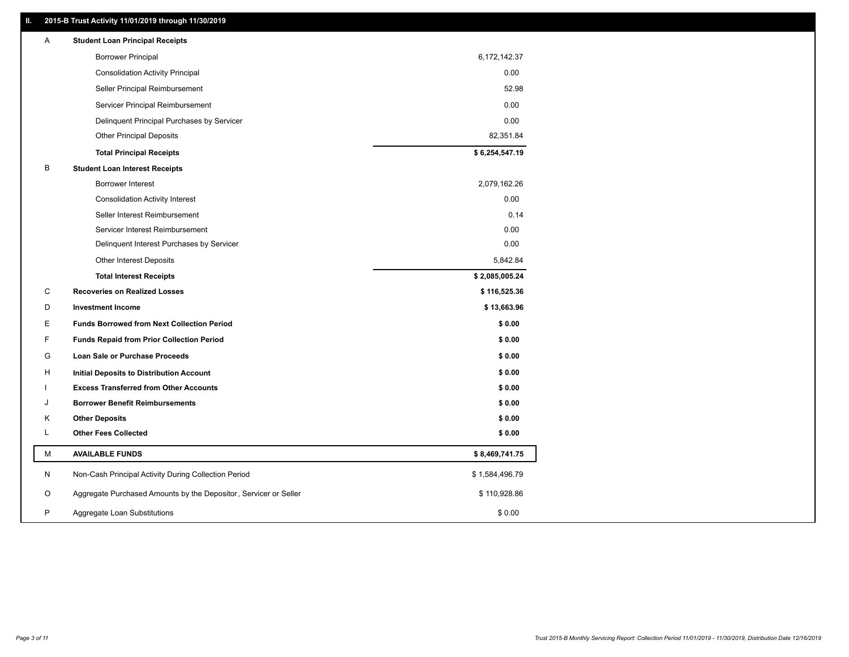#### **II. 2015-B Trust Activity 11/01/2019 through 11/30/2019**

| A | <b>Student Loan Principal Receipts</b>                           |                |  |
|---|------------------------------------------------------------------|----------------|--|
|   | <b>Borrower Principal</b>                                        | 6,172,142.37   |  |
|   | <b>Consolidation Activity Principal</b>                          | 0.00           |  |
|   | Seller Principal Reimbursement                                   | 52.98          |  |
|   | Servicer Principal Reimbursement                                 | 0.00           |  |
|   | Delinquent Principal Purchases by Servicer                       | 0.00           |  |
|   | <b>Other Principal Deposits</b>                                  | 82,351.84      |  |
|   | <b>Total Principal Receipts</b>                                  | \$6,254,547.19 |  |
| В | <b>Student Loan Interest Receipts</b>                            |                |  |
|   | Borrower Interest                                                | 2,079,162.26   |  |
|   | <b>Consolidation Activity Interest</b>                           | 0.00           |  |
|   | Seller Interest Reimbursement                                    | 0.14           |  |
|   | Servicer Interest Reimbursement                                  | 0.00           |  |
|   | Delinquent Interest Purchases by Servicer                        | 0.00           |  |
|   | Other Interest Deposits                                          | 5,842.84       |  |
|   | <b>Total Interest Receipts</b>                                   | \$2,085,005.24 |  |
| C | <b>Recoveries on Realized Losses</b>                             | \$116,525.36   |  |
| D | <b>Investment Income</b>                                         | \$13,663.96    |  |
| Е | <b>Funds Borrowed from Next Collection Period</b>                | \$0.00         |  |
| F | <b>Funds Repaid from Prior Collection Period</b>                 | \$0.00         |  |
| G | Loan Sale or Purchase Proceeds                                   | \$0.00         |  |
| H | Initial Deposits to Distribution Account                         | \$0.00         |  |
|   | <b>Excess Transferred from Other Accounts</b>                    | \$0.00         |  |
| J | <b>Borrower Benefit Reimbursements</b>                           | \$0.00         |  |
| Κ | <b>Other Deposits</b>                                            | \$0.00         |  |
| L | <b>Other Fees Collected</b>                                      | \$0.00         |  |
| М | <b>AVAILABLE FUNDS</b>                                           | \$8,469,741.75 |  |
| N | Non-Cash Principal Activity During Collection Period             | \$1,584,496.79 |  |
| O | Aggregate Purchased Amounts by the Depositor, Servicer or Seller | \$110,928.86   |  |
| P | Aggregate Loan Substitutions                                     | \$0.00         |  |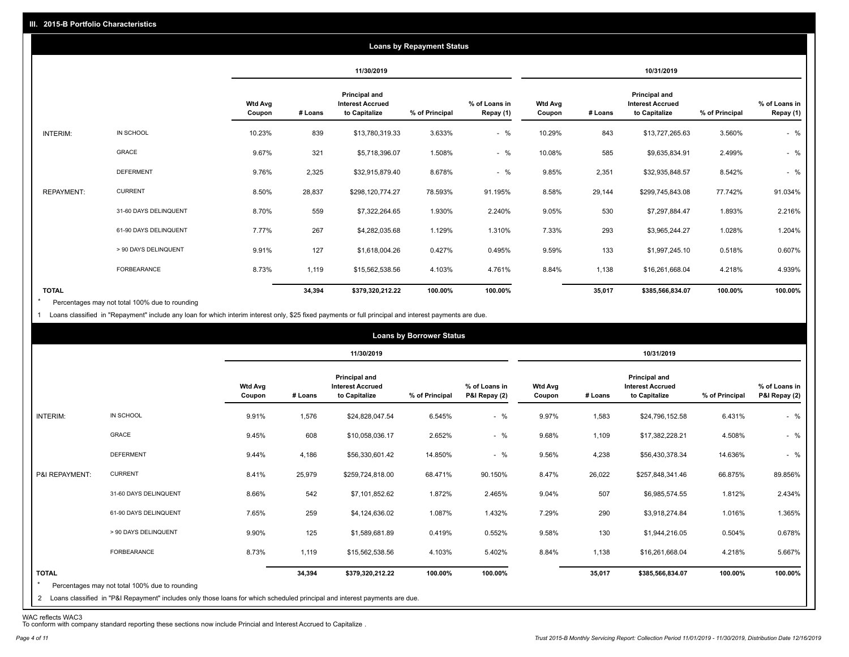|                   |                       |                          |         |                                                                  | <b>Loans by Repayment Status</b> |                            |                          |         |                                                           |                |                            |
|-------------------|-----------------------|--------------------------|---------|------------------------------------------------------------------|----------------------------------|----------------------------|--------------------------|---------|-----------------------------------------------------------|----------------|----------------------------|
|                   |                       |                          |         | 11/30/2019                                                       |                                  |                            |                          |         | 10/31/2019                                                |                |                            |
|                   |                       | <b>Wtd Avg</b><br>Coupon | # Loans | <b>Principal and</b><br><b>Interest Accrued</b><br>to Capitalize | % of Principal                   | % of Loans in<br>Repay (1) | <b>Wtd Avg</b><br>Coupon | # Loans | Principal and<br><b>Interest Accrued</b><br>to Capitalize | % of Principal | % of Loans in<br>Repay (1) |
| INTERIM:          | IN SCHOOL             | 10.23%                   | 839     | \$13,780,319.33                                                  | 3.633%                           | $-$ %                      | 10.29%                   | 843     | \$13,727,265.63                                           | 3.560%         | $-$ %                      |
|                   | <b>GRACE</b>          | 9.67%                    | 321     | \$5,718,396.07                                                   | 1.508%                           | $-$ %                      | 10.08%                   | 585     | \$9,635,834.91                                            | 2.499%         | $-$ %                      |
|                   | <b>DEFERMENT</b>      | 9.76%                    | 2,325   | \$32,915,879.40                                                  | 8.678%                           | $-$ %                      | 9.85%                    | 2,351   | \$32,935,848.57                                           | 8.542%         | $-$ %                      |
| <b>REPAYMENT:</b> | <b>CURRENT</b>        | 8.50%                    | 28,837  | \$298,120,774.27                                                 | 78.593%                          | 91.195%                    | 8.58%                    | 29,144  | \$299,745,843.08                                          | 77.742%        | 91.034%                    |
|                   | 31-60 DAYS DELINQUENT | 8.70%                    | 559     | \$7,322,264.65                                                   | 1.930%                           | 2.240%                     | 9.05%                    | 530     | \$7,297,884.47                                            | 1.893%         | 2.216%                     |
|                   | 61-90 DAYS DELINQUENT | 7.77%                    | 267     | \$4,282,035.68                                                   | 1.129%                           | 1.310%                     | 7.33%                    | 293     | \$3,965,244.27                                            | 1.028%         | 1.204%                     |
|                   | > 90 DAYS DELINQUENT  | 9.91%                    | 127     | \$1,618,004.26                                                   | 0.427%                           | 0.495%                     | 9.59%                    | 133     | \$1,997,245.10                                            | 0.518%         | 0.607%                     |
|                   | FORBEARANCE           | 8.73%                    | 1,119   | \$15,562,538.56                                                  | 4.103%                           | 4.761%                     | 8.84%                    | 1,138   | \$16,261,668.04                                           | 4.218%         | 4.939%                     |
| <b>TOTAL</b>      |                       |                          | 34,394  | \$379,320,212.22                                                 | 100.00%                          | 100.00%                    |                          | 35,017  | \$385,566,834.07                                          | 100.00%        | 100.00%                    |

Percentages may not total 100% due to rounding  $\star$ 

1 Loans classified in "Repayment" include any loan for which interim interest only, \$25 fixed payments or full principal and interest payments are due.

|                         |                                                                                                                                                                                |                          |         |                                                                  | <b>Loans by Borrower Status</b> |                                |                          |         |                                                                  |                |                                |
|-------------------------|--------------------------------------------------------------------------------------------------------------------------------------------------------------------------------|--------------------------|---------|------------------------------------------------------------------|---------------------------------|--------------------------------|--------------------------|---------|------------------------------------------------------------------|----------------|--------------------------------|
|                         |                                                                                                                                                                                |                          |         | 11/30/2019                                                       |                                 |                                |                          |         | 10/31/2019                                                       |                |                                |
|                         |                                                                                                                                                                                | <b>Wtd Avg</b><br>Coupon | # Loans | <b>Principal and</b><br><b>Interest Accrued</b><br>to Capitalize | % of Principal                  | % of Loans in<br>P&I Repay (2) | <b>Wtd Avg</b><br>Coupon | # Loans | <b>Principal and</b><br><b>Interest Accrued</b><br>to Capitalize | % of Principal | % of Loans in<br>P&I Repay (2) |
| INTERIM:                | IN SCHOOL                                                                                                                                                                      | 9.91%                    | 1,576   | \$24,828,047.54                                                  | 6.545%                          | $-$ %                          | 9.97%                    | 1,583   | \$24,796,152.58                                                  | 6.431%         | $-$ %                          |
|                         | GRACE                                                                                                                                                                          | 9.45%                    | 608     | \$10,058,036.17                                                  | 2.652%                          | $-$ %                          | 9.68%                    | 1,109   | \$17,382,228.21                                                  | 4.508%         | $-$ %                          |
|                         | <b>DEFERMENT</b>                                                                                                                                                               | 9.44%                    | 4,186   | \$56,330,601.42                                                  | 14.850%                         | $-$ %                          | 9.56%                    | 4,238   | \$56,430,378.34                                                  | 14.636%        | $-$ %                          |
| P&I REPAYMENT:          | <b>CURRENT</b>                                                                                                                                                                 | 8.41%                    | 25,979  | \$259,724,818.00                                                 | 68.471%                         | 90.150%                        | 8.47%                    | 26,022  | \$257,848,341.46                                                 | 66.875%        | 89.856%                        |
|                         | 31-60 DAYS DELINQUENT                                                                                                                                                          | 8.66%                    | 542     | \$7,101,852.62                                                   | 1.872%                          | 2.465%                         | 9.04%                    | 507     | \$6,985,574.55                                                   | 1.812%         | 2.434%                         |
|                         | 61-90 DAYS DELINQUENT                                                                                                                                                          | 7.65%                    | 259     | \$4,124,636.02                                                   | 1.087%                          | 1.432%                         | 7.29%                    | 290     | \$3,918,274.84                                                   | 1.016%         | 1.365%                         |
|                         | > 90 DAYS DELINQUENT                                                                                                                                                           | 9.90%                    | 125     | \$1,589,681.89                                                   | 0.419%                          | 0.552%                         | 9.58%                    | 130     | \$1,944,216.05                                                   | 0.504%         | 0.678%                         |
|                         | FORBEARANCE                                                                                                                                                                    | 8.73%                    | 1,119   | \$15,562,538.56                                                  | 4.103%                          | 5.402%                         | 8.84%                    | 1,138   | \$16,261,668.04                                                  | 4.218%         | 5.667%                         |
| <b>TOTAL</b><br>$\star$ | Percentages may not total 100% due to rounding<br>2 Loans classified in "P&I Repayment" includes only those loans for which scheduled principal and interest payments are due. |                          | 34,394  | \$379,320,212.22                                                 | 100.00%                         | 100.00%                        |                          | 35,017  | \$385,566,834.07                                                 | 100.00%        | 100.00%                        |

WAC reflects WAC3 To conform with company standard reporting these sections now include Princial and Interest Accrued to Capitalize .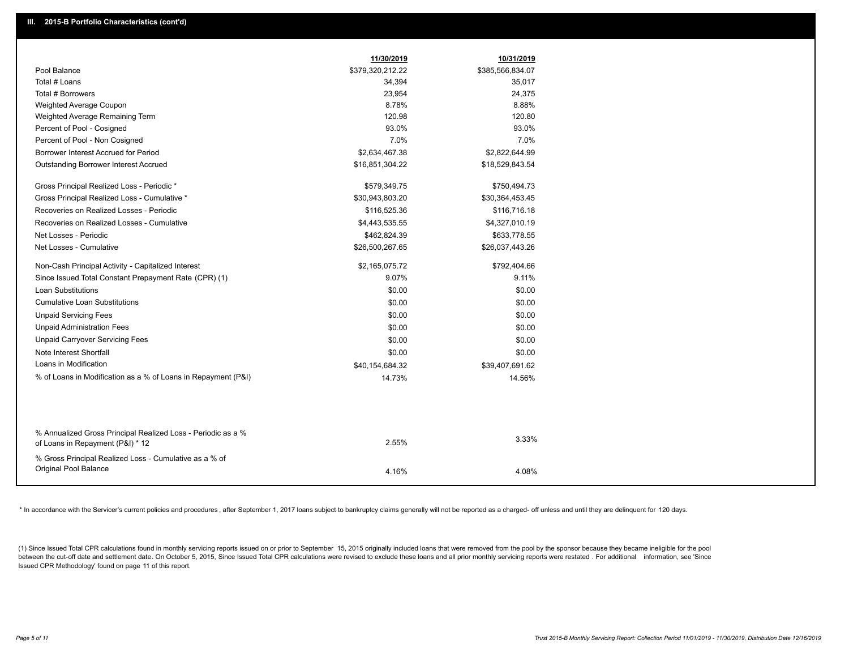|                                                                                                  | 11/30/2019       | 10/31/2019       |
|--------------------------------------------------------------------------------------------------|------------------|------------------|
| Pool Balance                                                                                     | \$379,320,212.22 | \$385,566,834.07 |
| Total # Loans                                                                                    | 34,394           | 35,017           |
| Total # Borrowers                                                                                | 23,954           | 24,375           |
| Weighted Average Coupon                                                                          | 8.78%            | 8.88%            |
| Weighted Average Remaining Term                                                                  | 120.98           | 120.80           |
| Percent of Pool - Cosigned                                                                       | 93.0%            | 93.0%            |
| Percent of Pool - Non Cosigned                                                                   | 7.0%             | 7.0%             |
| Borrower Interest Accrued for Period                                                             | \$2,634,467.38   | \$2,822,644.99   |
| <b>Outstanding Borrower Interest Accrued</b>                                                     | \$16,851,304.22  | \$18,529,843.54  |
| Gross Principal Realized Loss - Periodic *                                                       | \$579,349.75     | \$750,494.73     |
| Gross Principal Realized Loss - Cumulative *                                                     | \$30,943,803.20  | \$30,364,453.45  |
| Recoveries on Realized Losses - Periodic                                                         | \$116,525.36     | \$116,716.18     |
| Recoveries on Realized Losses - Cumulative                                                       | \$4,443,535.55   | \$4,327,010.19   |
| Net Losses - Periodic                                                                            | \$462,824.39     | \$633,778.55     |
| Net Losses - Cumulative                                                                          | \$26,500,267.65  | \$26,037,443.26  |
| Non-Cash Principal Activity - Capitalized Interest                                               | \$2,165,075.72   | \$792,404.66     |
| Since Issued Total Constant Prepayment Rate (CPR) (1)                                            | 9.07%            | 9.11%            |
| Loan Substitutions                                                                               | \$0.00           | \$0.00           |
| <b>Cumulative Loan Substitutions</b>                                                             | \$0.00           | \$0.00           |
| <b>Unpaid Servicing Fees</b>                                                                     | \$0.00           | \$0.00           |
| <b>Unpaid Administration Fees</b>                                                                | \$0.00           | \$0.00           |
| <b>Unpaid Carryover Servicing Fees</b>                                                           | \$0.00           | \$0.00           |
| Note Interest Shortfall                                                                          | \$0.00           | \$0.00           |
| Loans in Modification                                                                            | \$40,154,684.32  | \$39,407,691.62  |
| % of Loans in Modification as a % of Loans in Repayment (P&I)                                    | 14.73%           | 14.56%           |
|                                                                                                  |                  |                  |
|                                                                                                  |                  |                  |
| % Annualized Gross Principal Realized Loss - Periodic as a %<br>of Loans in Repayment (P&I) * 12 | 2.55%            | 3.33%            |
| % Gross Principal Realized Loss - Cumulative as a % of                                           |                  |                  |
| Original Pool Balance                                                                            | 4.16%            | 4.08%            |

\* In accordance with the Servicer's current policies and procedures, after September 1, 2017 loans subject to bankruptcy claims generally will not be reported as a charged- off unless and until they are delinquent for 120

(1) Since Issued Total CPR calculations found in monthly servicing reports issued on or prior to September 15, 2015 originally included loans that were removed from the pool by the sponsor because they became ineligible fo between the cut-off date and settlement date. On October 5, 2015, Since Issued Total CPR calculations were revised to exclude these loans and all prior monthly servicing reports were restated. For additional information, s Issued CPR Methodology' found on page 11 of this report.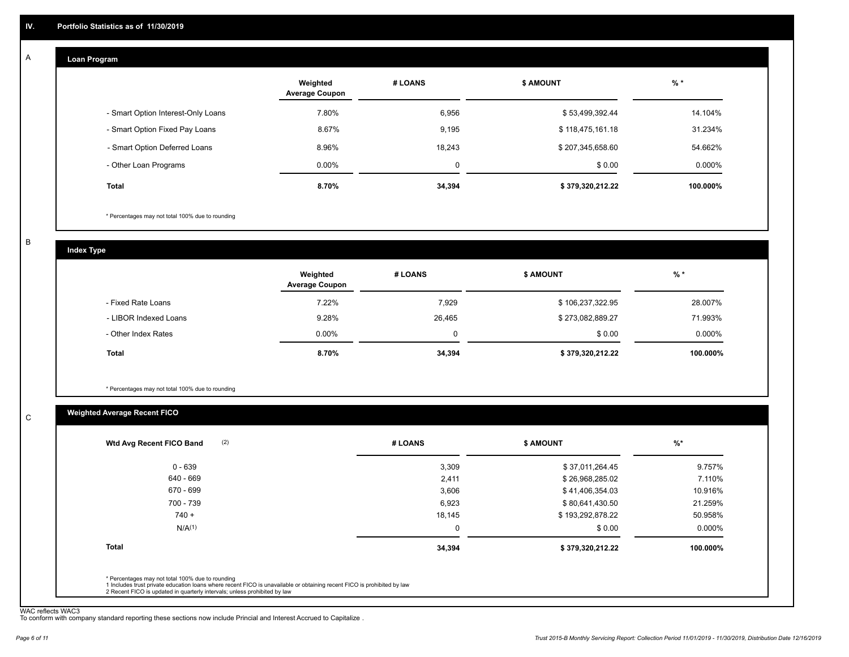#### **Loan Program**  A

|                                    | Weighted<br><b>Average Coupon</b> | # LOANS | <b>\$ AMOUNT</b> | $%$ *    |
|------------------------------------|-----------------------------------|---------|------------------|----------|
| - Smart Option Interest-Only Loans | 7.80%                             | 6,956   | \$53,499,392.44  | 14.104%  |
| - Smart Option Fixed Pay Loans     | 8.67%                             | 9,195   | \$118,475,161.18 | 31.234%  |
| - Smart Option Deferred Loans      | 8.96%                             | 18.243  | \$207,345,658.60 | 54.662%  |
| - Other Loan Programs              | $0.00\%$                          | 0       | \$0.00           | 0.000%   |
| <b>Total</b>                       | 8.70%                             | 34,394  | \$379,320,212.22 | 100.000% |

\* Percentages may not total 100% due to rounding

B

C

**Index Type**

|                       | Weighted<br><b>Average Coupon</b> | # LOANS | <b>\$ AMOUNT</b> | % *      |
|-----------------------|-----------------------------------|---------|------------------|----------|
| - Fixed Rate Loans    | 7.22%                             | 7,929   | \$106,237,322.95 | 28.007%  |
| - LIBOR Indexed Loans | 9.28%                             | 26,465  | \$273,082,889.27 | 71.993%  |
| - Other Index Rates   | $0.00\%$                          |         | \$0.00           | 0.000%   |
| <b>Total</b>          | 8.70%                             | 34,394  | \$379,320,212.22 | 100.000% |

\* Percentages may not total 100% due to rounding

#### **Weighted Average Recent FICO**

| (2)<br>Wtd Avg Recent FICO Band | # LOANS | <b>S AMOUNT</b>  | $\frac{9}{6}$ * |
|---------------------------------|---------|------------------|-----------------|
| $0 - 639$                       | 3,309   | \$37,011,264.45  | 9.757%          |
| 640 - 669                       | 2,411   | \$26,968,285.02  | 7.110%          |
| 670 - 699                       | 3,606   | \$41,406,354.03  | 10.916%         |
| 700 - 739                       | 6,923   | \$80,641,430.50  | 21.259%         |
| $740 +$                         | 18,145  | \$193,292,878.22 | 50.958%         |
| N/A <sup>(1)</sup>              | 0       | \$0.00           | $0.000\%$       |
| <b>Total</b>                    | 34,394  | \$379,320,212.22 | 100.000%        |
|                                 |         |                  |                 |

WAC reflects WAC3 To conform with company standard reporting these sections now include Princial and Interest Accrued to Capitalize .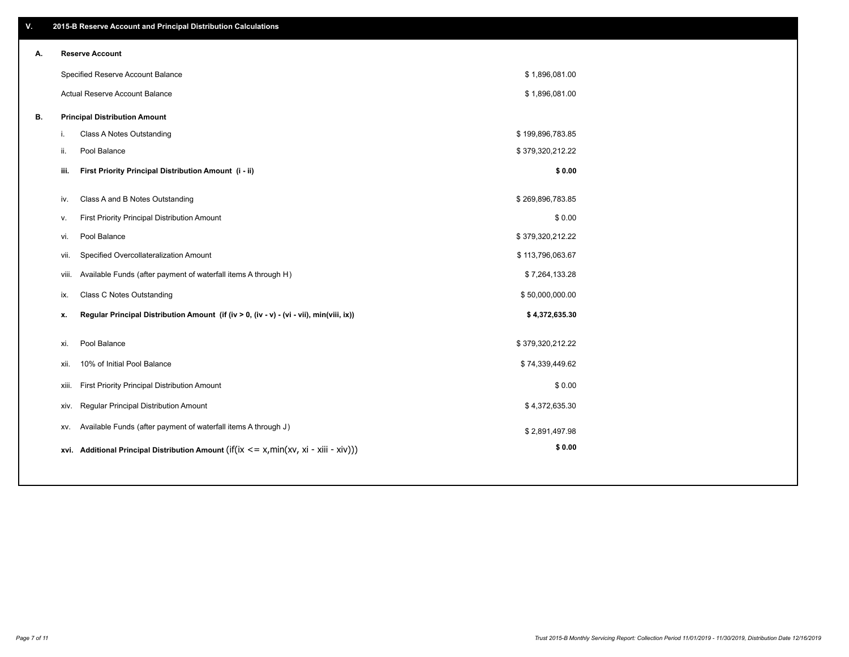| V. |       | 2015-B Reserve Account and Principal Distribution Calculations                             |                  |  |
|----|-------|--------------------------------------------------------------------------------------------|------------------|--|
| А. |       | <b>Reserve Account</b>                                                                     |                  |  |
|    |       | Specified Reserve Account Balance                                                          | \$1,896,081.00   |  |
|    |       | Actual Reserve Account Balance                                                             | \$1,896,081.00   |  |
| В. |       | <b>Principal Distribution Amount</b>                                                       |                  |  |
|    | i.    | Class A Notes Outstanding                                                                  | \$199,896,783.85 |  |
|    | ii.   | Pool Balance                                                                               | \$379,320,212.22 |  |
|    | iii.  | First Priority Principal Distribution Amount (i - ii)                                      | \$0.00           |  |
|    |       |                                                                                            |                  |  |
|    | iv.   | Class A and B Notes Outstanding                                                            | \$269,896,783.85 |  |
|    | v.    | First Priority Principal Distribution Amount                                               | \$0.00           |  |
|    | vi.   | Pool Balance                                                                               | \$379,320,212.22 |  |
|    | vii.  | Specified Overcollateralization Amount                                                     | \$113,796,063.67 |  |
|    | viii. | Available Funds (after payment of waterfall items A through H)                             | \$7,264,133.28   |  |
|    | ix.   | <b>Class C Notes Outstanding</b>                                                           | \$50,000,000.00  |  |
|    | x.    | Regular Principal Distribution Amount (if (iv > 0, (iv - v) - (vi - vii), min(viii, ix))   | \$4,372,635.30   |  |
|    |       |                                                                                            | \$379,320,212.22 |  |
|    | xi.   | Pool Balance                                                                               |                  |  |
|    | XII.  | 10% of Initial Pool Balance                                                                | \$74,339,449.62  |  |
|    | xiii. | First Priority Principal Distribution Amount                                               | \$0.00           |  |
|    | XIV.  | Regular Principal Distribution Amount                                                      | \$4,372,635.30   |  |
|    | XV.   | Available Funds (after payment of waterfall items A through J)                             | \$2,891,497.98   |  |
|    |       | xvi. Additional Principal Distribution Amount (if(ix $\lt$ = x, min(xv, xi - xiii - xiv))) | \$0.00           |  |
|    |       |                                                                                            |                  |  |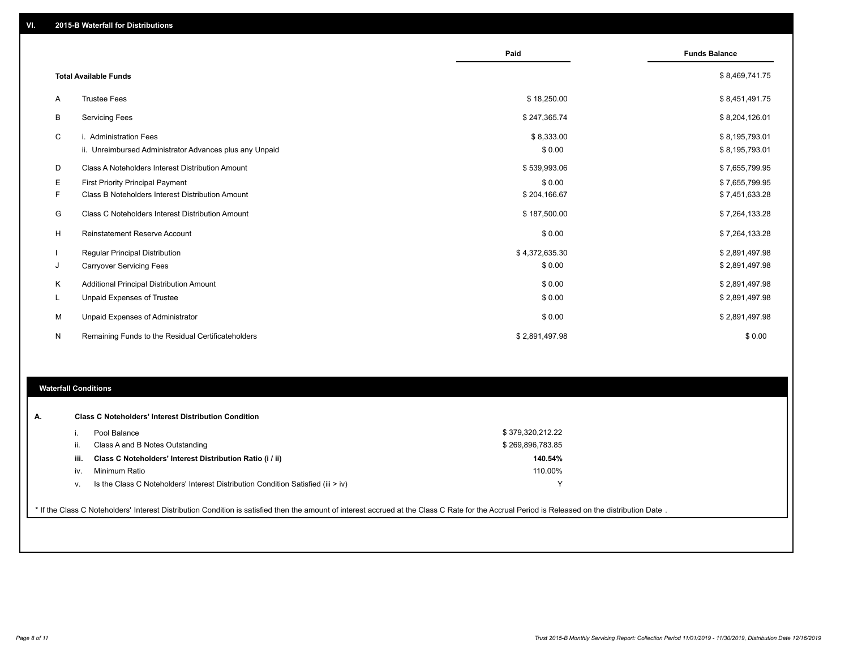|    |                                                         | Paid           | <b>Funds Balance</b> |
|----|---------------------------------------------------------|----------------|----------------------|
|    | <b>Total Available Funds</b>                            |                | \$8,469,741.75       |
| A  | <b>Trustee Fees</b>                                     | \$18,250.00    | \$8,451,491.75       |
| В  | <b>Servicing Fees</b>                                   | \$247,365.74   | \$8,204,126.01       |
| C  | i. Administration Fees                                  | \$8,333.00     | \$8,195,793.01       |
|    | ii. Unreimbursed Administrator Advances plus any Unpaid | \$0.00         | \$8,195,793.01       |
| D  | Class A Noteholders Interest Distribution Amount        | \$539,993.06   | \$7,655,799.95       |
| E. | First Priority Principal Payment                        | \$0.00         | \$7,655,799.95       |
| F. | Class B Noteholders Interest Distribution Amount        | \$204,166.67   | \$7,451,633.28       |
| G  | <b>Class C Noteholders Interest Distribution Amount</b> | \$187,500.00   | \$7,264,133.28       |
| H  | <b>Reinstatement Reserve Account</b>                    | \$0.00         | \$7,264,133.28       |
|    | Regular Principal Distribution                          | \$4,372,635.30 | \$2,891,497.98       |
| J  | <b>Carryover Servicing Fees</b>                         | \$0.00         | \$2,891,497.98       |
| Κ  | Additional Principal Distribution Amount                | \$0.00         | \$2,891,497.98       |
| L  | Unpaid Expenses of Trustee                              | \$0.00         | \$2,891,497.98       |
| м  | Unpaid Expenses of Administrator                        | \$0.00         | \$2,891,497.98       |
| N  | Remaining Funds to the Residual Certificateholders      | \$2,891,497.98 | \$0.00               |

#### **Waterfall Conditions**

|      | Pool Balance                                                                       | \$379,320,212.22 |  |
|------|------------------------------------------------------------------------------------|------------------|--|
| Ш.   | Class A and B Notes Outstanding                                                    | \$269,896,783.85 |  |
| iii. | Class C Noteholders' Interest Distribution Ratio (i / ii)                          | 140.54%          |  |
| iv.  | Minimum Ratio                                                                      | 110.00%          |  |
| v.   | Is the Class C Noteholders' Interest Distribution Condition Satisfied (iii $>$ iv) |                  |  |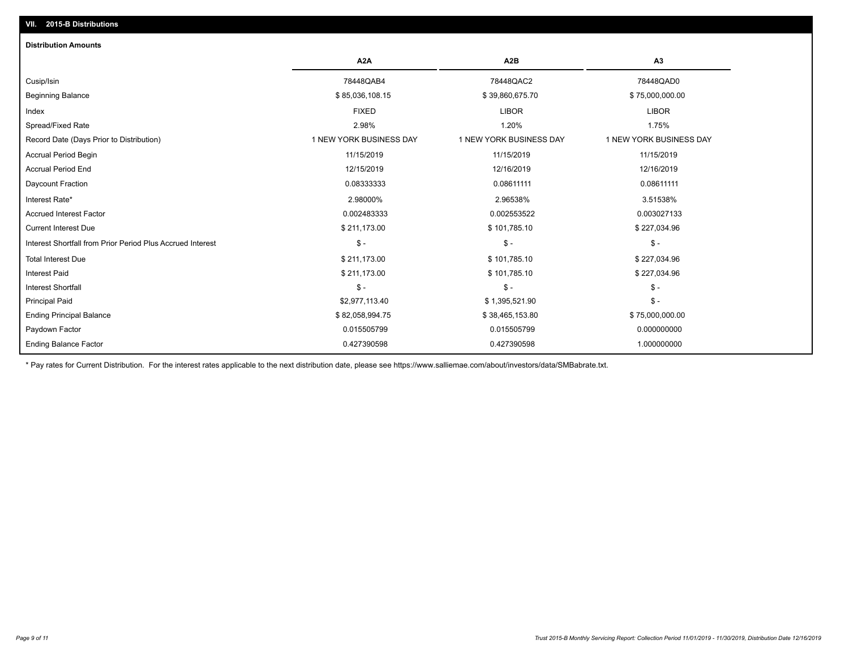### **VII. 2015-B Distributions**

| <b>Distribution Amounts</b>                                |                         |                         |                         |
|------------------------------------------------------------|-------------------------|-------------------------|-------------------------|
|                                                            | A <sub>2</sub> A        | A <sub>2</sub> B        | A <sub>3</sub>          |
| Cusip/Isin                                                 | 78448QAB4               | 78448QAC2               | 78448QAD0               |
| <b>Beginning Balance</b>                                   | \$85,036,108.15         | \$39,860,675.70         | \$75,000,000.00         |
| Index                                                      | <b>FIXED</b>            | <b>LIBOR</b>            | <b>LIBOR</b>            |
| Spread/Fixed Rate                                          | 2.98%                   | 1.20%                   | 1.75%                   |
| Record Date (Days Prior to Distribution)                   | 1 NEW YORK BUSINESS DAY | 1 NEW YORK BUSINESS DAY | 1 NEW YORK BUSINESS DAY |
| <b>Accrual Period Begin</b>                                | 11/15/2019              | 11/15/2019              | 11/15/2019              |
| <b>Accrual Period End</b>                                  | 12/15/2019              | 12/16/2019              | 12/16/2019              |
| Daycount Fraction                                          | 0.08333333              | 0.08611111              | 0.08611111              |
| Interest Rate*                                             | 2.98000%                | 2.96538%                | 3.51538%                |
| <b>Accrued Interest Factor</b>                             | 0.002483333             | 0.002553522             | 0.003027133             |
| <b>Current Interest Due</b>                                | \$211,173.00            | \$101,785.10            | \$227,034.96            |
| Interest Shortfall from Prior Period Plus Accrued Interest | $\mathsf{\$}$ -         | $\mathsf{\$}$ -         | $\mathsf{\$}$ -         |
| <b>Total Interest Due</b>                                  | \$211,173.00            | \$101,785.10            | \$227,034.96            |
| <b>Interest Paid</b>                                       | \$211,173.00            | \$101,785.10            | \$227,034.96            |
| <b>Interest Shortfall</b>                                  | $\frac{1}{2}$           | $\mathcal{S}$ -         | $\frac{1}{2}$           |
| <b>Principal Paid</b>                                      | \$2,977,113.40          | \$1,395,521.90          | $$ -$                   |
| <b>Ending Principal Balance</b>                            | \$82,058,994.75         | \$38,465,153.80         | \$75,000,000.00         |
| Paydown Factor                                             | 0.015505799             | 0.015505799             | 0.000000000             |
| <b>Ending Balance Factor</b>                               | 0.427390598             | 0.427390598             | 1.000000000             |

\* Pay rates for Current Distribution. For the interest rates applicable to the next distribution date, please see https://www.salliemae.com/about/investors/data/SMBabrate.txt.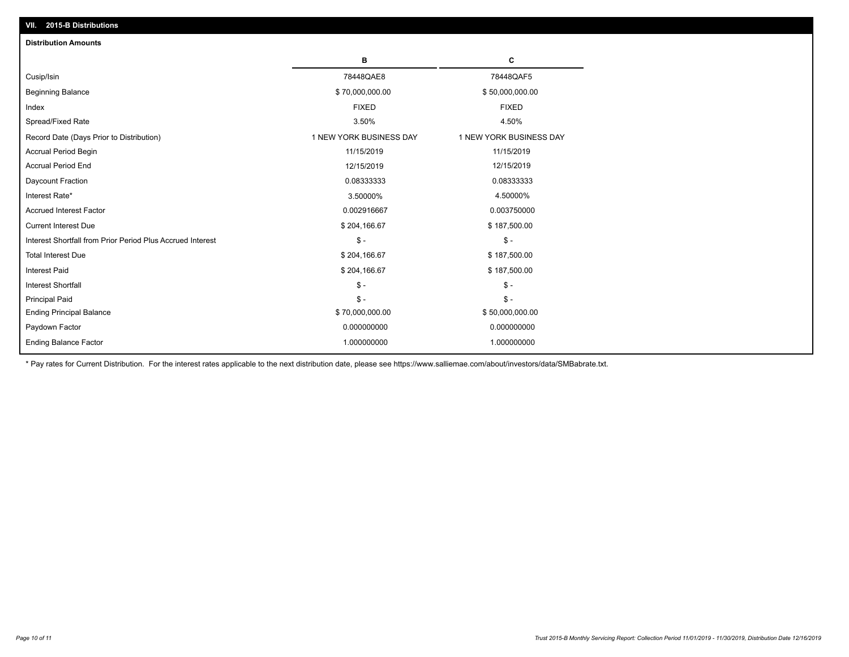| VII. 2015-B Distributions                                  |                         |                         |
|------------------------------------------------------------|-------------------------|-------------------------|
| <b>Distribution Amounts</b>                                |                         |                         |
|                                                            | в                       | C                       |
| Cusip/Isin                                                 | 78448QAE8               | 78448QAF5               |
| <b>Beginning Balance</b>                                   | \$70,000,000.00         | \$50,000,000.00         |
| Index                                                      | <b>FIXED</b>            | <b>FIXED</b>            |
| Spread/Fixed Rate                                          | 3.50%                   | 4.50%                   |
| Record Date (Days Prior to Distribution)                   | 1 NEW YORK BUSINESS DAY | 1 NEW YORK BUSINESS DAY |
| <b>Accrual Period Begin</b>                                | 11/15/2019              | 11/15/2019              |
| <b>Accrual Period End</b>                                  | 12/15/2019              | 12/15/2019              |
| Daycount Fraction                                          | 0.08333333              | 0.08333333              |
| Interest Rate*                                             | 3.50000%                | 4.50000%                |
| <b>Accrued Interest Factor</b>                             | 0.002916667             | 0.003750000             |
| <b>Current Interest Due</b>                                | \$204,166.67            | \$187,500.00            |
| Interest Shortfall from Prior Period Plus Accrued Interest | $\mathsf{\$}$ -         | $\mathsf{\$}$ -         |
| <b>Total Interest Due</b>                                  | \$204,166.67            | \$187,500.00            |
| Interest Paid                                              | \$204,166.67            | \$187,500.00            |
| Interest Shortfall                                         | $\mathcal{S}$ -         | $\mathcal{S}$ -         |
| <b>Principal Paid</b>                                      | $\mathsf{\$}$ -         | $\mathsf{\$}$ -         |
| <b>Ending Principal Balance</b>                            | \$70,000,000.00         | \$50,000,000.00         |
| Paydown Factor                                             | 0.000000000             | 0.000000000             |
| <b>Ending Balance Factor</b>                               | 1.000000000             | 1.000000000             |

\* Pay rates for Current Distribution. For the interest rates applicable to the next distribution date, please see https://www.salliemae.com/about/investors/data/SMBabrate.txt.